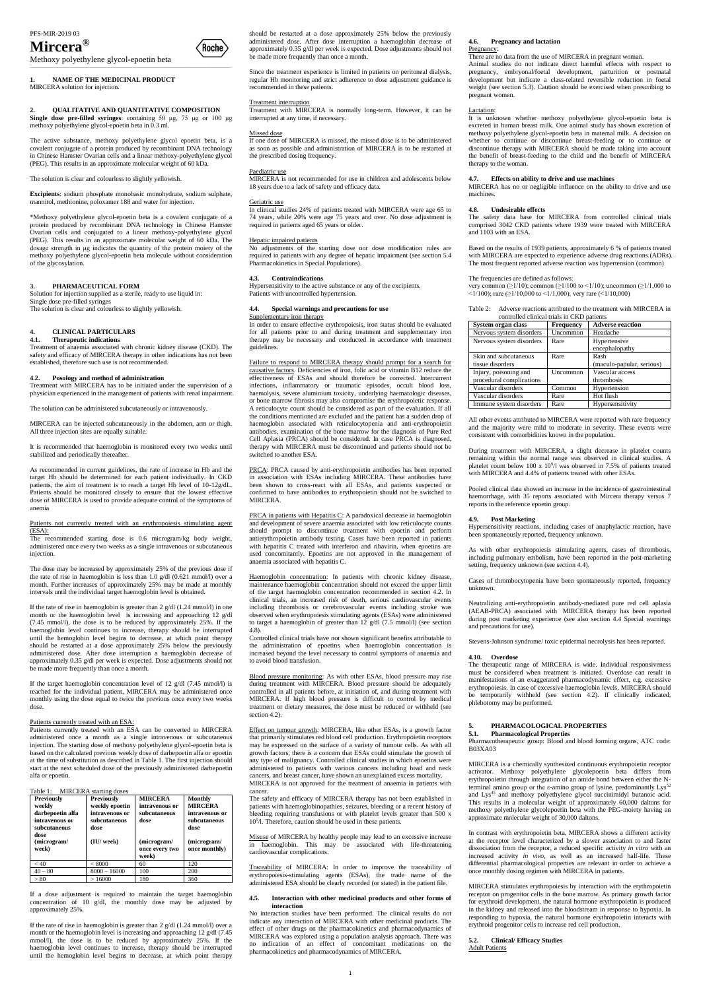# **Mircera®**

Methoxy polyethylene glycol-epoetin beta \_\_\_\_\_\_\_\_\_\_\_\_\_\_\_\_\_\_\_\_\_\_\_\_\_\_\_\_\_\_\_\_\_\_\_\_\_\_\_\_\_\_\_\_\_\_\_\_\_\_\_\_\_\_\_\_\_\_\_\_\_\_\_\_\_\_\_\_\_\_\_\_\_\_\_\_\_\_\_\_\_\_\_\_\_\_\_\_\_\_\_\_\_\_\_\_\_\_\_\_\_\_\_\_\_\_\_\_\_\_\_\_\_\_\_\_\_\_\_\_\_

**1. NAME OF THE MEDICINAL PRODUCT** MIRCERA solution for injection.

## **2. QUALITATIVE AND QUANTITATIVE COMPOSITION**

**Single dose pre-filled syringes**: containing 50 μg, 75 μg or 100 μg methoxy polyethylene glycol-epoetin beta in 0.3 ml.

The active substance, methoxy polyethylene glycol epoetin beta, is a covalent conjugate of a protein produced by recombinant DNA technology in Chinese Hamster Ovarian cells and a linear methoxy-polyethylene glycol (PEG). This results in an approximate molecular weight of 60 kDa.

The solution is clear and colourless to slightly yellowish.

**Excipients**: sodium phosphate monobasic monohydrate, sodium sulphate, mannitol, methionine, poloxamer 188 and water for injection.

\*Methoxy polyethylene glycol-epoetin beta is a covalent conjugate of a protein produced by recombinant DNA technology in Chinese Hamster Ovarian cells and conjugated to a linear methoxy-polyethylene glycol (PEG). This results in an approximate molecular weight of 60 kDa. The dosage strength in μg indicates the quantity of the protein moiety of the methoxy polyethylene glycol-epoetin beta molecule without consideration of the glycosylation.

## **3. PHARMACEUTICAL FORM**

Patients not currently treated with an erythropoiesis stimulating agent (ESA):

Solution for injection supplied as a sterile, ready to use liquid in: Single dose pre-filled syringes

The solution is clear and colourless to slightly yellowish.

## **4. CLINICAL PARTICULARS**

#### **4.1. Therapeutic indications**

Treatment of anaemia associated with chronic kidney disease (CKD). The safety and efficacy of MIRCERA therapy in other indications has not been established, therefore such use is not recommended.

## **4.2. Posology and method of administration**

If the target haemoglobin concentration level of 12 g/dl (7.45 mmol/l) is reached for the individual patient, MIRCERA may be administered once monthly using the dose equal to twice the previous once every two weeks dose

Treatment with MIRCERA has to be initiated under the supervision of a physician experienced in the management of patients with renal impairment.

The solution can be administered subcutaneously or intravenously.

MIRCERA can be injected subcutaneously in the abdomen, arm or thigh. All three injection sites are equally suitable.

It is recommended that haemoglobin is monitored every two weeks until stabilized and periodically thereafter.

As recommended in current guidelines, the rate of increase in Hb and the target Hb should be determined for each patient individually. In CKD patients, the aim of treatment is to reach a target Hb level of 10-12g/dL. Patients should be monitored closely to ensure that the lowest effective dose of MIRCERA is used to provide adequate control of the symptoms of anemia

The recommended starting dose is 0.6 microgram/kg body weight, administered once every two weeks as a single intravenous or subcutaneous injection.

The dose may be increased by approximately 25% of the previous dose if the rate of rise in haemoglobin is less than 1.0 g/dl (0.621 mmol/l) over a month. Further increases of approximately 25% may be made at monthly intervals until the individual target haemoglobin level is obtained.

If the rate of rise in haemoglobin is greater than 2 g/dl (1.24 mmol/l) in one month or the haemoglobin level is increasing and approaching 12 g/dl (7.45 mmol/l), the dose is to be reduced by approximately 25%. If the haemoglobin level continues to increase, therapy should be interrupted until the hemoglobin level begins to decrease, at which point therapy should be restarted at a dose approximately 25% below the previously administered dose. After dose interruption a haemoglobin decrease of approximately 0.35 g/dl per week is expected. Dose adjustments should not be made more frequently than once a month.

## Patients currently treated with an ESA:

Patients currently treated with an ESA can be converted to MIRCERA administered once a month as a single intravenous or subcutaneous injection. The starting dose of methoxy polyethylene glycol-epoetin beta is

PRCA: PRCA caused by anti-erythropoietin antibodies has been reported in association with ESAs including MIRCERA. These antibodies have been shown to cross-react with all ESAs, and patients suspected or confirmed to have antibodies to erythropoietin should not be switched to MIRCERA.

based on the calculated previous weekly dose of darbepoetin alfa or epoetin at the time of substitution as described in Table 1. The first injection should start at the next scheduled dose of the previously administered darbepoetin alfa or epoetin.

PRCA in patients with Hepatitis C: A paradoxical decrease in haemoglobin and development of severe anaemia associated with low reticulocyte counts should prompt to discontinue treatment with epoetin and perform antierythropoietin antibody testing. Cases have been reported in patients with hepatitis C treated with interferon and ribavirin, when epoetins are used concomitantly. Epoetins are not approved in the management of anaemia associated with hepatitis C.

Table 1: MIRCERA starting doses

| Previously<br>weekly<br>darbepoetin alfa<br>intravenous or<br>subcutaneous<br>dose<br>(microgram/<br>week) | <b>Previously</b><br>weekly epoetin<br>intravenous or<br>subcutaneous<br>dose<br>(IU/ week) | <b>MIRCERA</b><br>intravenous or<br>subcutaneous<br>dose<br>(microgram/<br>once every two<br>week) | <b>Monthly</b><br><b>MIRCERA</b><br>intravenous or<br>subcutaneous<br>dose<br>(microgram/<br>once monthly) |
|------------------------------------------------------------------------------------------------------------|---------------------------------------------------------------------------------------------|----------------------------------------------------------------------------------------------------|------------------------------------------------------------------------------------------------------------|
| < 40                                                                                                       | ${}<8000$                                                                                   | 60                                                                                                 | 120                                                                                                        |
| $40 - 80$                                                                                                  | $8000 - 16000$                                                                              | 100                                                                                                | 200                                                                                                        |
|                                                                                                            |                                                                                             |                                                                                                    |                                                                                                            |

If a dose adjustment is required to maintain the target haemoglobin concentration of 10 g/dl, the monthly dose may be adjusted by approximately 25%.

If the rate of rise in haemoglobin is greater than 2 g/dl (1.24 mmol/l) over a month or the haemoglobin level is increasing and approaching 12 g/dl (7.45 mmol/l), the dose is to be reduced by approximately 25%. If the haemoglobin level continues to increase, therapy should be interrupted until the hemoglobin level begins to decrease, at which point therapy

The safety and efficacy of MIRCERA therapy has not been established in patients with haemoglobinopathies, seizures, bleeding or a recent history of bleeding requiring transfusions or with platelet levels greater than 500 x 10<sup>9</sup>/l. Therefore, caution should be used in these patients.



Since the treatment experience is limited in patients on peritoneal dialysis, regular Hb monitoring and strict adherence to dose adjustment guidance is recommended in these patients.

## **4.6. Pregnancy and lactation** Pregnancy:

#### Treatment interruption

Treatment with MIRCERA is normally long-term. However, it can be interrupted at any time, if necessary.

#### Missed dose

If one dose of MIRCERA is missed, the missed dose is to be administered as soon as possible and administration of MIRCERA is to be restarted at the prescribed dosing frequency.

## Paediatric use

MIRCERA is not recommended for use in children and adolescents below 18 years due to a lack of safety and efficacy data.

#### Geriatric use

In clinical studies 24% of patients treated with MIRCERA were age 65 to 74 years, while 20% were age 75 years and over. No dose adjustment is required in patients aged 65 years or older.

## Hepatic impaired patients

very common ( $\geq$ 1/10); common ( $\geq$ 1/100 to  $\leq$ 1/10); uncommon ( $\geq$ 1/1,000 to <1/100); rare (≥1/10,000 to <1/1,000); very rare (<1/10,000)

No adjustments of the starting dose nor dose modification rules are required in patients with any degree of hepatic impairment (see section 5.4 Pharmacokinetics in Special Populations).

## **4.3. Contraindications**

Hypersensitivity to the active substance or any of the excipients. Patients with uncontrolled hypertension.

## **4.4. Special warnings and precautions for use** Supplementary iron therapy

In order to ensure effective erythropoiesis, iron status should be evaluated for all patients prior to and during treatment and supplementary iron therapy may be necessary and conducted in accordance with treatment guidelines.

Failure to respond to MIRCERA therapy should prompt for a search for causative factors. Deficiencies of iron, folic acid or vitamin B12 reduce the effectiveness of ESAs and should therefore be corrected. Intercurrent infections, inflammatory or traumatic episodes, occult blood loss, haemolysis, severe aluminium toxicity, underlying haematologic diseases, or bone marrow fibrosis may also compromise the erythropoietic response. A reticulocyte count should be considered as part of the evaluation. If all the conditions mentioned are excluded and the patient has a sudden drop of haemoglobin associated with reticulocytopenia and anti-erythropoietin antibodies, examination of the bone marrow for the diagnosis of Pure Red Cell Aplasia (PRCA) should be considered. In case PRCA is diagnosed, therapy with MIRCERA must be discontinued and patients should not be switched to another ESA.

Haemoglobin concentration: In patients with chronic kidney disease, maintenance haemoglobin concentration should not exceed the upper limit of the target haemoglobin concentration recommended in section 4.2. In clinical trials, an increased risk of death, serious cardiovascular events including thrombosis or cerebrovascular events including stroke was observed when erythropoiesis stimulating agents (ESAs) were administered to target a haemoglobin of greater than 12 g/dl (7.5 mmol/l) (see section 4.8).

Controlled clinical trials have not shown significant benefits attributable to the administration of epoetins when haemoglobin concentration is increased beyond the level necessary to control symptoms of anaemia and to avoid blood transfusion.

Blood pressure monitoring: As with other ESAs, blood pressure may rise during treatment with MIRCERA. Blood pressure should be adequately controlled in all patients before, at initiation of, and during treatment with MIRCERA. If high blood pressure is difficult to control by medical treatment or dietary measures, the dose must be reduced or withheld (see section 4.2).

Effect on tumour growth: MIRCERA, like other ESAs, is a growth factor that primarily stimulates red blood cell production. Erythropoietin receptors may be expressed on the surface of a variety of tumour cells. As with all growth factors, there is a concern that ESAs could stimulate the growth of any type of malignancy. Controlled clinical studies in which epoetins were administered to patients with various cancers including head and neck cancers, and breast cancer, have shown an unexplained excess mortality. MIRCERA is not approved for the treatment of anaemia in patients with cancer.

Misuse of MIRCERA by healthy people may lead to an excessive increase in haemoglobin. This may be associated with life-threatening cardiovascular complications.

Traceability of MIRCERA: In order to improve the traceability of erythropoiesis-stimulating agents (ESAs), the trade name of the administered ESA should be clearly recorded (or stated) in the patient file.

## **4.5. Interaction with other medicinal products and other forms of interaction**

No interaction studies have been performed. The clinical results do not indicate any interaction of MIRCERA with other medicinal products. The effect of other drugs on the pharmacokinetics and pharmacodynamics of MIRCERA was explored using a population analysis approach. There was no indication of an effect of concomitant medications on the pharmacokinetics and pharmacodynamics of MIRCERA.

There are no data from the use of MIRCERA in pregnant woman.

Animal studies do not indicate direct harmful effects with respect to pregnancy, embryonal/foetal development, parturition or postnatal development but indicate a class-related reversible reduction in foetal weight (see section 5.3). Caution should be exercised when prescribing to pregnant women.

#### Lactation:

It is unknown whether methoxy polyethylene glycol-epoetin beta is excreted in human breast milk. One animal study has shown excretion of methoxy polyethylene glycol-epoetin beta in maternal milk. A decision on whether to continue or discontinue breast-feeding or to continue or discontinue therapy with MIRCERA should be made taking into account the benefit of breast-feeding to the child and the benefit of MIRCERA therapy to the woman.

## **4.7. Effects on ability to drive and use machines**

MIRCERA has no or negligible influence on the ability to drive and use machines.

## **4.8. Undesirable effects**

The safety data base for MIRCERA from controlled clinical trials comprised 3042 CKD patients where 1939 were treated with MIRCERA and 1103 with an ESA.

Based on the results of 1939 patients, approximately 6 % of patients treated with MIRCERA are expected to experience adverse drug reactions (ADRs). The most frequent reported adverse reaction was hypertension (common)

## The frequencies are defined as follows:

| Table 2: Adverse reactions attributed to the treatment with MIRCERA in |
|------------------------------------------------------------------------|
| controlled clinical trials in CKD patients                             |

| System organ class       | <b>Frequency</b> | <b>Adverse reaction</b>   |
|--------------------------|------------------|---------------------------|
| Nervous system disorders | Uncommon         | Headache                  |
| Nervous system disorders | Rare             | Hypertensive              |
|                          |                  | encephalopathy            |
| Skin and subcutaneous    | Rare             | Rash                      |
| tissue disorders         |                  | (maculo-papular, serious) |
| Injury, poisoning and    | Uncommon         | Vascular access           |
| procedural complications |                  | thrombosis                |
| Vascular disorders       | Common           | Hypertension              |
| Vascular disorders       | Rare             | Hot flush                 |
| Immune system disorders  | Rare             | Hypersensitivity          |

All other events attributed to MIRCERA were reported with rare frequency and the majority were mild to moderate in severity. These events were consistent with comorbidities known in the population.

During treatment with MIRCERA, a slight decrease in platelet counts remaining within the normal range was observed in clinical studies. A platelet count below 100 x  $10^9$ /l was observed in 7.5% of patients treated with MIRCERA and 4.4% of patients treated with other ESAs.

Pooled clinical data showed an increase in the incidence of gastrointestinal haemorrhage, with 35 reports associated with Mircera therapy versus 7 reports in the reference epoetin group.

## **4.9. Post Marketing**

Hypersensitivity reactions, including cases of anaphylactic reaction, have been spontaneously reported, frequency unknown.

As with other erythropoiesis stimulating agents, cases of thrombosis, including pulmonary embolism, have been reported in the post-marketing setting, frequency unknown (see section 4.4).

Cases of thrombocytopenia have been spontaneously reported, frequency unknown.

Neutralizing anti-erythropoietin antibody-mediated pure red cell aplasia (AEAB-PRCA) associated with MIRCERA therapy has been reported during post marketing experience (see also section 4.4 Special warnings and precautions for use).

Stevens-Johnson syndrome/ toxic epidermal necrolysis has been reported.

## **4.10. Overdose**

The therapeutic range of MIRCERA is wide. Individual responsiveness must be considered when treatment is initiated. Overdose can result in manifestations of an exaggerated pharmacodynamic effect, e.g. excessive erythropoiesis. In case of excessive haemoglobin levels, MIRCERA should be temporarily withheld (see section 4.2). If clinically indicated, phlebotomy may be performed.

## **5. PHARMACOLOGICAL PROPERTIES 5.1. Pharmacological Properties**

Pharmacotherapeutic group: Blood and blood forming organs, ATC code: B03XA03



MIRCERA is a chemically synthesized continuous erythropoietin receptor activator. Methoxy polyethylene glycolepoetin beta differs from erythropoietin through integration of an amide bond between either the Nterminal amino group or the ε-amino group of lysine, predominantly Lys<sup>52</sup> and Lys<sup>45</sup> and methoxy polyethylene glycol succinimidyl butanoic acid. This results in a molecular weight of approximately 60,000 daltons for methoxy polyethylene glycolepoetin beta with the PEG-moiety having an approximate molecular weight of 30,000 daltons.

In contrast with erythropoietin beta, MIRCERA shows a different activity at the receptor level characterized by a slower association to and faster dissociation from the receptor, a reduced specific activity *in vitro* with an increased activity *in vivo*, as well as an increased half-life. These differential pharmacological properties are relevant in order to achieve a once monthly dosing regimen with MIRCERA in patients.

MIRCERA stimulates erythropoiesis by interaction with the erythropoietin receptor on progenitor cells in the bone marrow. As primary growth factor for erythroid development, the natural hormone erythropoietin is produced in the kidney and released into the bloodstream in response to hypoxia. In responding to hypoxia, the natural hormone erythropoietin interacts with erythroid progenitor cells to increase red cell production.

## **5.2. Clinical/ Efficacy Studies** Adult Patients